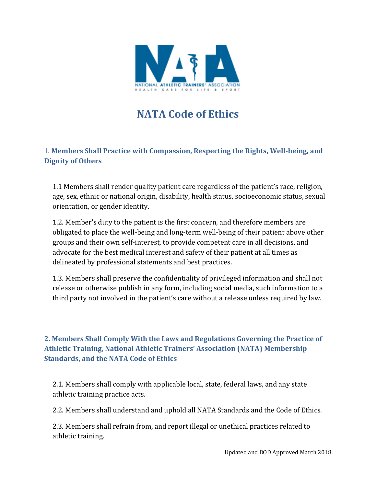

## **NATA Code of Ethics**

1. **Members Shall Practice with Compassion, Respecting the Rights, Well-being, and Dignity of Others** 

1.1 Members shall render quality patient care regardless of the patient's race, religion, age, sex, ethnic or national origin, disability, health status, socioeconomic status, sexual orientation, or gender identity.

1.2. Member's duty to the patient is the first concern, and therefore members are obligated to place the well-being and long-term well-being of their patient above other groups and their own self-interest, to provide competent care in all decisions, and advocate for the best medical interest and safety of their patient at all times as delineated by professional statements and best practices.

1.3. Members shall preserve the confidentiality of privileged information and shall not release or otherwise publish in any form, including social media, such information to a third party not involved in the patient's care without a release unless required by law.

## **2. Members Shall Comply With the Laws and Regulations Governing the Practice of Athletic Training, National Athletic Trainers' Association (NATA) Membership Standards, and the NATA Code of Ethics**

2.1. Members shall comply with applicable local, state, federal laws, and any state athletic training practice acts.

2.2. Members shall understand and uphold all NATA Standards and the Code of Ethics.

2.3. Members shall refrain from, and report illegal or unethical practices related to athletic training.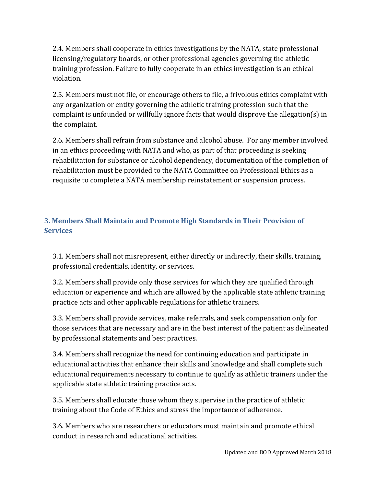2.4. Members shall cooperate in ethics investigations by the NATA, state professional licensing/regulatory boards, or other professional agencies governing the athletic training profession. Failure to fully cooperate in an ethics investigation is an ethical violation.

2.5. Members must not file, or encourage others to file, a frivolous ethics complaint with any organization or entity governing the athletic training profession such that the complaint is unfounded or willfully ignore facts that would disprove the allegation(s) in the complaint.

2.6. Members shall refrain from substance and alcohol abuse. For any member involved in an ethics proceeding with NATA and who, as part of that proceeding is seeking rehabilitation for substance or alcohol dependency, documentation of the completion of rehabilitation must be provided to the NATA Committee on Professional Ethics as a requisite to complete a NATA membership reinstatement or suspension process.

## **3. Members Shall Maintain and Promote High Standards in Their Provision of Services**

3.1. Members shall not misrepresent, either directly or indirectly, their skills, training, professional credentials, identity, or services.

3.2. Members shall provide only those services for which they are qualified through education or experience and which are allowed by the applicable state athletic training practice acts and other applicable regulations for athletic trainers.

3.3. Members shall provide services, make referrals, and seek compensation only for those services that are necessary and are in the best interest of the patient as delineated by professional statements and best practices.

3.4. Members shall recognize the need for continuing education and participate in educational activities that enhance their skills and knowledge and shall complete such educational requirements necessary to continue to qualify as athletic trainers under the applicable state athletic training practice acts.

3.5. Members shall educate those whom they supervise in the practice of athletic training about the Code of Ethics and stress the importance of adherence.

3.6. Members who are researchers or educators must maintain and promote ethical conduct in research and educational activities.